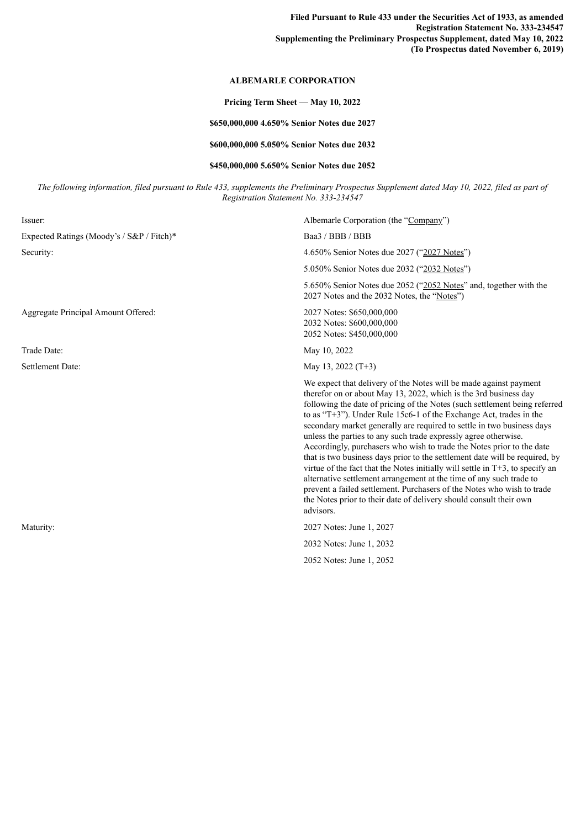**Filed Pursuant to Rule 433 under the Securities Act of 1933, as amended Registration Statement No. 333-234547 Supplementing the Preliminary Prospectus Supplement, dated May 10, 2022 (To Prospectus dated November 6, 2019)**

## **ALBEMARLE CORPORATION**

## **Pricing Term Sheet — May 10, 2022**

## **\$650,000,000 4.650% Senior Notes due 2027**

**\$600,000,000 5.050% Senior Notes due 2032**

## **\$450,000,000 5.650% Senior Notes due 2052**

The following information, filed pursuant to Rule 433, supplements the Preliminary Prospectus Supplement dated May 10, 2022, filed as part of *Registration Statement No. 333-234547*

| Issuer:                                   | Albemarle Corporation (the "Company")                                                                                                                                                                                                                                                                                                                                                                                                                                                                                                                                                                                                                                                                                                                                                                                                                                                                                  |
|-------------------------------------------|------------------------------------------------------------------------------------------------------------------------------------------------------------------------------------------------------------------------------------------------------------------------------------------------------------------------------------------------------------------------------------------------------------------------------------------------------------------------------------------------------------------------------------------------------------------------------------------------------------------------------------------------------------------------------------------------------------------------------------------------------------------------------------------------------------------------------------------------------------------------------------------------------------------------|
| Expected Ratings (Moody's / S&P / Fitch)* | Baa3 / BBB / BBB                                                                                                                                                                                                                                                                                                                                                                                                                                                                                                                                                                                                                                                                                                                                                                                                                                                                                                       |
| Security:                                 | 4.650% Senior Notes due 2027 ("2027 Notes")                                                                                                                                                                                                                                                                                                                                                                                                                                                                                                                                                                                                                                                                                                                                                                                                                                                                            |
|                                           | 5.050% Senior Notes due 2032 ("2032 Notes")                                                                                                                                                                                                                                                                                                                                                                                                                                                                                                                                                                                                                                                                                                                                                                                                                                                                            |
|                                           | 5.650% Senior Notes due 2052 ("2052 Notes" and, together with the<br>2027 Notes and the 2032 Notes, the "Notes")                                                                                                                                                                                                                                                                                                                                                                                                                                                                                                                                                                                                                                                                                                                                                                                                       |
| Aggregate Principal Amount Offered:       | 2027 Notes: \$650,000,000<br>2032 Notes: \$600,000,000<br>2052 Notes: \$450,000,000                                                                                                                                                                                                                                                                                                                                                                                                                                                                                                                                                                                                                                                                                                                                                                                                                                    |
| Trade Date:                               | May 10, 2022                                                                                                                                                                                                                                                                                                                                                                                                                                                                                                                                                                                                                                                                                                                                                                                                                                                                                                           |
| Settlement Date:                          | May 13, 2022 $(T+3)$                                                                                                                                                                                                                                                                                                                                                                                                                                                                                                                                                                                                                                                                                                                                                                                                                                                                                                   |
|                                           | We expect that delivery of the Notes will be made against payment<br>therefor on or about May 13, 2022, which is the 3rd business day<br>following the date of pricing of the Notes (such settlement being referred<br>to as "T+3"). Under Rule 15c6-1 of the Exchange Act, trades in the<br>secondary market generally are required to settle in two business days<br>unless the parties to any such trade expressly agree otherwise.<br>Accordingly, purchasers who wish to trade the Notes prior to the date<br>that is two business days prior to the settlement date will be required, by<br>virtue of the fact that the Notes initially will settle in $T+3$ , to specify an<br>alternative settlement arrangement at the time of any such trade to<br>prevent a failed settlement. Purchasers of the Notes who wish to trade<br>the Notes prior to their date of delivery should consult their own<br>advisors. |
| Maturity:                                 | 2027 Notes: June 1, 2027                                                                                                                                                                                                                                                                                                                                                                                                                                                                                                                                                                                                                                                                                                                                                                                                                                                                                               |
|                                           | 2032 Notes: June 1, 2032                                                                                                                                                                                                                                                                                                                                                                                                                                                                                                                                                                                                                                                                                                                                                                                                                                                                                               |
|                                           | 2052 Notes: June 1, 2052                                                                                                                                                                                                                                                                                                                                                                                                                                                                                                                                                                                                                                                                                                                                                                                                                                                                                               |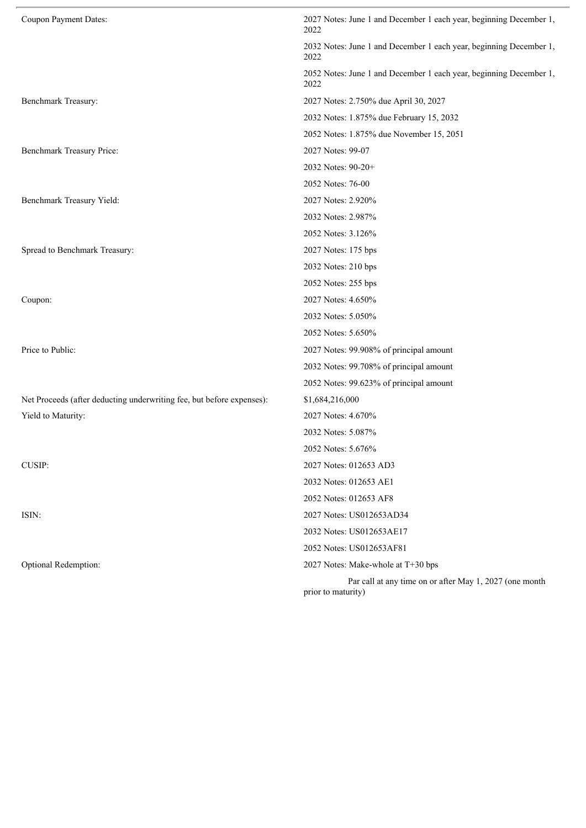| Coupon Payment Dates:                                                 | 2027 Notes: June 1 and December 1 each year, beginning December 1,<br>2022    |
|-----------------------------------------------------------------------|-------------------------------------------------------------------------------|
|                                                                       | 2032 Notes: June 1 and December 1 each year, beginning December 1,<br>2022    |
|                                                                       | 2052 Notes: June 1 and December 1 each year, beginning December 1,<br>2022    |
| Benchmark Treasury:                                                   | 2027 Notes: 2.750% due April 30, 2027                                         |
|                                                                       | 2032 Notes: 1.875% due February 15, 2032                                      |
|                                                                       | 2052 Notes: 1.875% due November 15, 2051                                      |
| Benchmark Treasury Price:                                             | 2027 Notes: 99-07                                                             |
|                                                                       | 2032 Notes: 90-20+                                                            |
|                                                                       | 2052 Notes: 76-00                                                             |
| Benchmark Treasury Yield:                                             | 2027 Notes: 2.920%                                                            |
|                                                                       | 2032 Notes: 2.987%                                                            |
|                                                                       | 2052 Notes: 3.126%                                                            |
| Spread to Benchmark Treasury:                                         | 2027 Notes: 175 bps                                                           |
|                                                                       | 2032 Notes: 210 bps                                                           |
|                                                                       | 2052 Notes: 255 bps                                                           |
| Coupon:                                                               | 2027 Notes: 4.650%                                                            |
|                                                                       | 2032 Notes: 5.050%                                                            |
|                                                                       | 2052 Notes: 5.650%                                                            |
| Price to Public:                                                      | 2027 Notes: 99.908% of principal amount                                       |
|                                                                       | 2032 Notes: 99.708% of principal amount                                       |
|                                                                       | 2052 Notes: 99.623% of principal amount                                       |
| Net Proceeds (after deducting underwriting fee, but before expenses): | \$1,684,216,000                                                               |
| Yield to Maturity:                                                    | 2027 Notes: 4.670%                                                            |
|                                                                       | 2032 Notes: 5.087%                                                            |
|                                                                       | 2052 Notes: 5.676%                                                            |
| CUSIP:                                                                | 2027 Notes: 012653 AD3                                                        |
|                                                                       | 2032 Notes: 012653 AE1                                                        |
|                                                                       | 2052 Notes: 012653 AF8                                                        |
| ISIN:                                                                 | 2027 Notes: US012653AD34                                                      |
|                                                                       | 2032 Notes: US012653AE17                                                      |
|                                                                       | 2052 Notes: US012653AF81                                                      |
| Optional Redemption:                                                  | 2027 Notes: Make-whole at T+30 bps                                            |
|                                                                       | Par call at any time on or after May 1, 2027 (one month<br>prior to maturity) |